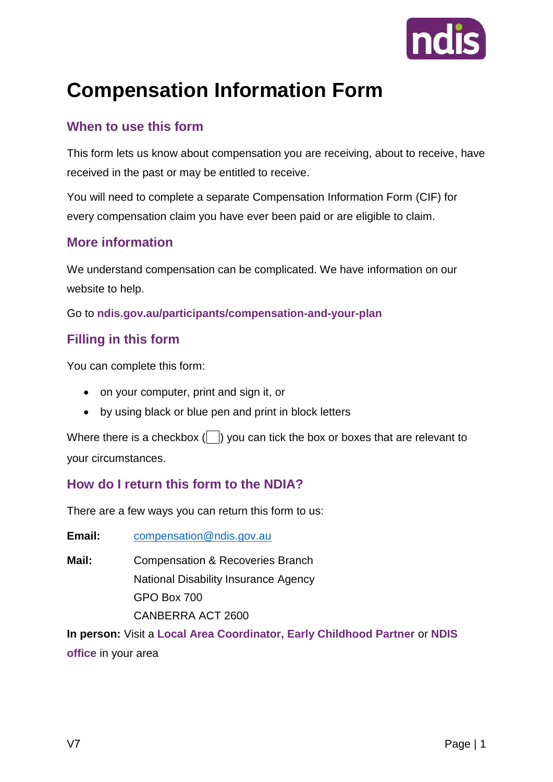

# **Compensation Information Form**

#### **When to use this form**

This form lets us know about compensation you are receiving, about to receive, have received in the past or may be entitled to receive.

You will need to complete a separate Compensation Information Form (CIF) for every compensation claim you have ever been paid or are eligible to claim.

#### **More information**

We understand compensation can be complicated. We have information on our website to help.

Go to **[ndis.gov.au/participants/compensation-and-your-plan](file://///NDIASTAFF.NDIA.GOV.AU/Data/Shared/Secured/Compensation%20Recoveries/Letters%20and%20Forms%20-%20Drafts%20and%20mapping/CR%20letters%20automated/Information%20Gathering/ndis.gov.au/participants/compensation-and-your-plan)** 

#### **Filling in this form**

You can complete this form:

- on your computer, print and sign it, or
- by using black or blue pen and print in block letters

Where there is a checkbox  $\binom{n}{k}$  you can tick the box or boxes that are relevant to your circumstances.

#### **How do I return this form to the NDIA?**

There are a few ways you can return this form to us:

**Email:** compensation@ndis.gov.au

**Mail:** Compensation & Recoveries Branch National Disability Insurance Agency GPO Box 700 CANBERRA ACT 2600

**In person:** Visit a **Local Area Coordinator, Early Childhood Partner** or **NDIS office** in your area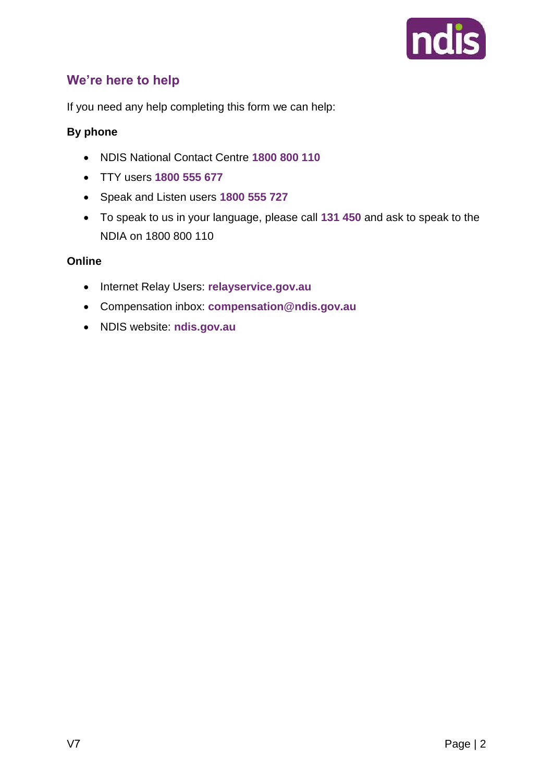

#### **We're here to help**

If you need any help completing this form we can help:

#### **By phone**

- NDIS National Contact Centre **1800 800 110**
- TTY users **1800 555 677**
- Speak and Listen users **1800 555 727**
- To speak to us in your language, please call **131 450** and ask to speak to the NDIA on 1800 800 110

#### **Online**

- Internet Relay Users: **relayservice.gov.au**
- Compensation inbox: **[compensation@ndis.gov.au](mailto:compensation@ndis.gov.au)**
- NDIS website: **ndis.gov.au**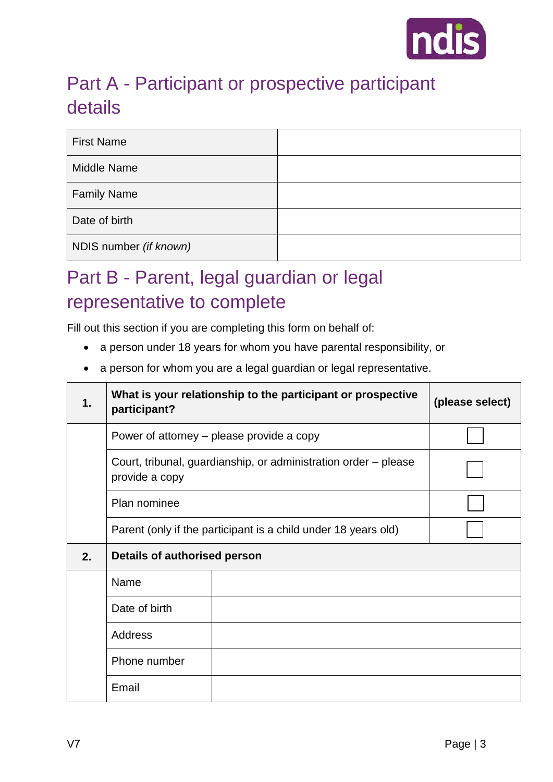

### Part A - Participant or prospective participant details

| <b>First Name</b>      |  |
|------------------------|--|
| <b>Middle Name</b>     |  |
| <b>Family Name</b>     |  |
| Date of birth          |  |
| NDIS number (if known) |  |

### Part B - Parent, legal guardian or legal representative to complete

Fill out this section if you are completing this form on behalf of:

- a person under 18 years for whom you have parental responsibility, or
- a person for whom you are a legal guardian or legal representative.

| 1. | What is your relationship to the participant or prospective<br>participant?       |                                                                | (please select) |
|----|-----------------------------------------------------------------------------------|----------------------------------------------------------------|-----------------|
|    | Power of attorney – please provide a copy                                         |                                                                |                 |
|    | Court, tribunal, guardianship, or administration order – please<br>provide a copy |                                                                |                 |
|    | Plan nominee                                                                      |                                                                |                 |
|    |                                                                                   | Parent (only if the participant is a child under 18 years old) |                 |
| 2. | Details of authorised person                                                      |                                                                |                 |
|    | Name                                                                              |                                                                |                 |
|    | Date of birth                                                                     |                                                                |                 |
|    | <b>Address</b>                                                                    |                                                                |                 |
|    | Phone number                                                                      |                                                                |                 |
|    | Email                                                                             |                                                                |                 |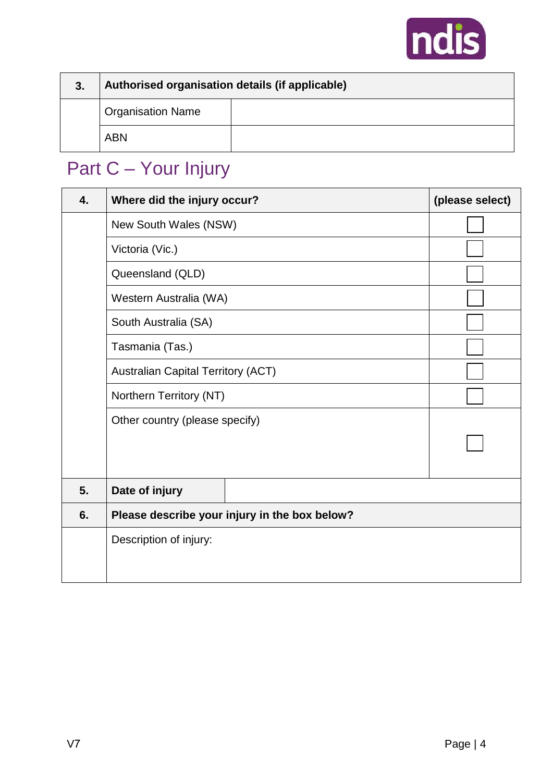

| 3. | Authorised organisation details (if applicable) |  |
|----|-------------------------------------------------|--|
|    | <b>Organisation Name</b>                        |  |
|    | <b>ABN</b>                                      |  |

# Part C – Your Injury

| 4. | Where did the injury occur?                   | (please select) |
|----|-----------------------------------------------|-----------------|
|    | New South Wales (NSW)                         |                 |
|    | Victoria (Vic.)                               |                 |
|    | Queensland (QLD)                              |                 |
|    | Western Australia (WA)                        |                 |
|    | South Australia (SA)                          |                 |
|    | Tasmania (Tas.)                               |                 |
|    | <b>Australian Capital Territory (ACT)</b>     |                 |
|    | Northern Territory (NT)                       |                 |
|    | Other country (please specify)                |                 |
|    |                                               |                 |
|    |                                               |                 |
| 5. | Date of injury                                |                 |
| 6. | Please describe your injury in the box below? |                 |
|    | Description of injury:                        |                 |
|    |                                               |                 |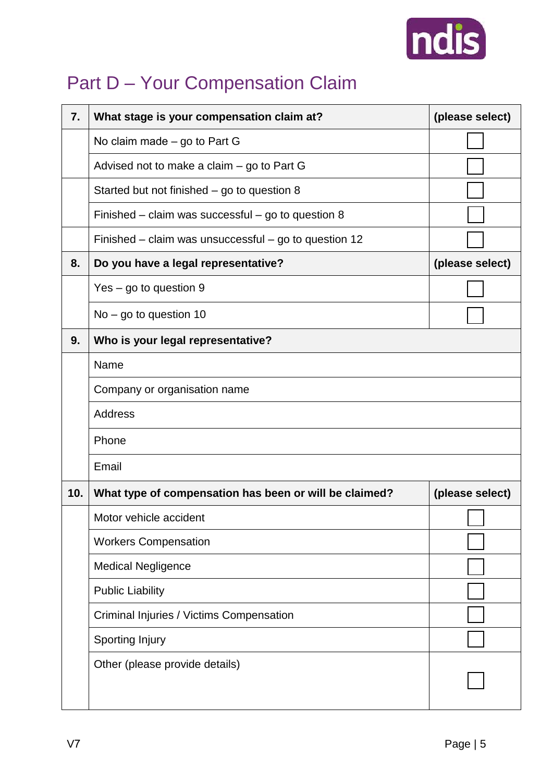

# Part D - Your Compensation Claim

| 7.  | What stage is your compensation claim at?              | (please select) |
|-----|--------------------------------------------------------|-----------------|
|     | No claim made – go to Part G                           |                 |
|     | Advised not to make a claim – go to Part G             |                 |
|     | Started but not finished – go to question 8            |                 |
|     | Finished – claim was successful – go to question $8$   |                 |
|     | Finished – claim was unsuccessful – go to question 12  |                 |
| 8.  | Do you have a legal representative?                    | (please select) |
|     | $Yes - go to question 9$                               |                 |
|     | $No - go to question 10$                               |                 |
| 9.  | Who is your legal representative?                      |                 |
|     | Name                                                   |                 |
|     | Company or organisation name                           |                 |
|     | <b>Address</b>                                         |                 |
|     | Phone                                                  |                 |
|     | Email                                                  |                 |
| 10. | What type of compensation has been or will be claimed? | (please select) |
|     | Motor vehicle accident                                 |                 |
|     | <b>Workers Compensation</b>                            |                 |
|     | <b>Medical Negligence</b>                              |                 |
|     | <b>Public Liability</b>                                |                 |
|     | Criminal Injuries / Victims Compensation               |                 |
|     | Sporting Injury                                        |                 |
|     | Other (please provide details)                         |                 |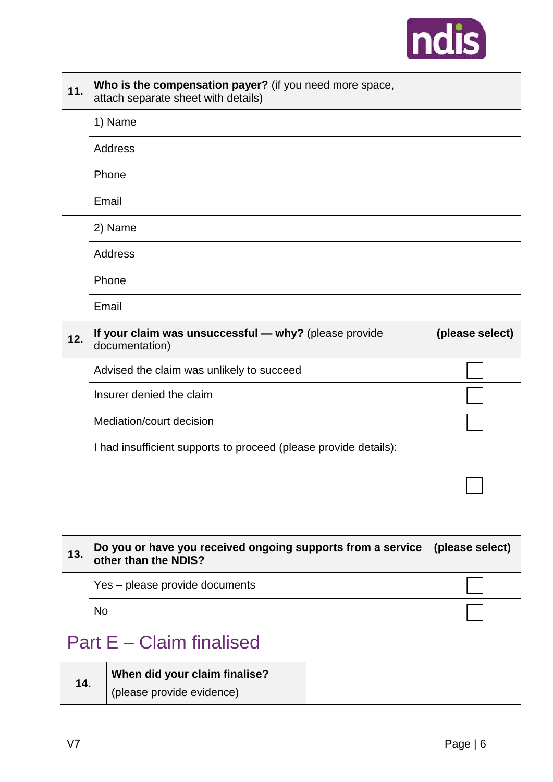

| 11. | Who is the compensation payer? (if you need more space,<br>attach separate sheet with details) |                 |
|-----|------------------------------------------------------------------------------------------------|-----------------|
|     | 1) Name                                                                                        |                 |
|     | Address                                                                                        |                 |
|     | Phone                                                                                          |                 |
|     | Email                                                                                          |                 |
|     | 2) Name                                                                                        |                 |
|     | Address                                                                                        |                 |
|     | Phone                                                                                          |                 |
|     | Email                                                                                          |                 |
| 12. | If your claim was unsuccessful - why? (please provide<br>documentation)                        | (please select) |
|     | Advised the claim was unlikely to succeed                                                      |                 |
|     | Insurer denied the claim                                                                       |                 |
|     | Mediation/court decision                                                                       |                 |
|     | I had insufficient supports to proceed (please provide details):                               |                 |
|     |                                                                                                |                 |
|     |                                                                                                |                 |
| 13. | Do you or have you received ongoing supports from a service<br>other than the NDIS?            | (please select) |
|     | Yes - please provide documents                                                                 |                 |
|     | <b>No</b>                                                                                      |                 |

### Part E – Claim finalised

| 14. | When did your claim finalise? |  |
|-----|-------------------------------|--|
|     | (please provide evidence)     |  |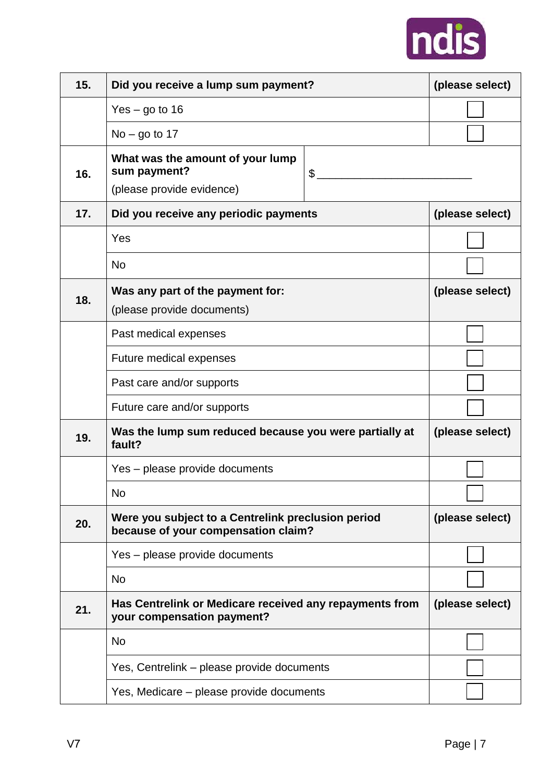

| 15. | Did you receive a lump sum payment?                                                       |  | (please select) |
|-----|-------------------------------------------------------------------------------------------|--|-----------------|
|     | $Yes - go to 16$                                                                          |  |                 |
|     | $No - go to 17$                                                                           |  |                 |
| 16. | What was the amount of your lump<br>sum payment?<br>\$<br>(please provide evidence)       |  |                 |
| 17. | Did you receive any periodic payments                                                     |  | (please select) |
|     | Yes                                                                                       |  |                 |
|     | <b>No</b>                                                                                 |  |                 |
| 18. | Was any part of the payment for:<br>(please provide documents)                            |  | (please select) |
|     | Past medical expenses                                                                     |  |                 |
|     | Future medical expenses                                                                   |  |                 |
|     | Past care and/or supports                                                                 |  |                 |
|     | Future care and/or supports                                                               |  |                 |
| 19. | Was the lump sum reduced because you were partially at<br>fault?                          |  | (please select) |
|     | Yes - please provide documents                                                            |  |                 |
|     | No                                                                                        |  |                 |
| 20. | Were you subject to a Centrelink preclusion period<br>because of your compensation claim? |  | (please select) |
|     | Yes - please provide documents                                                            |  |                 |
|     | <b>No</b>                                                                                 |  |                 |
| 21. | Has Centrelink or Medicare received any repayments from<br>your compensation payment?     |  | (please select) |
|     | <b>No</b>                                                                                 |  |                 |
|     | Yes, Centrelink – please provide documents                                                |  |                 |
|     | Yes, Medicare – please provide documents                                                  |  |                 |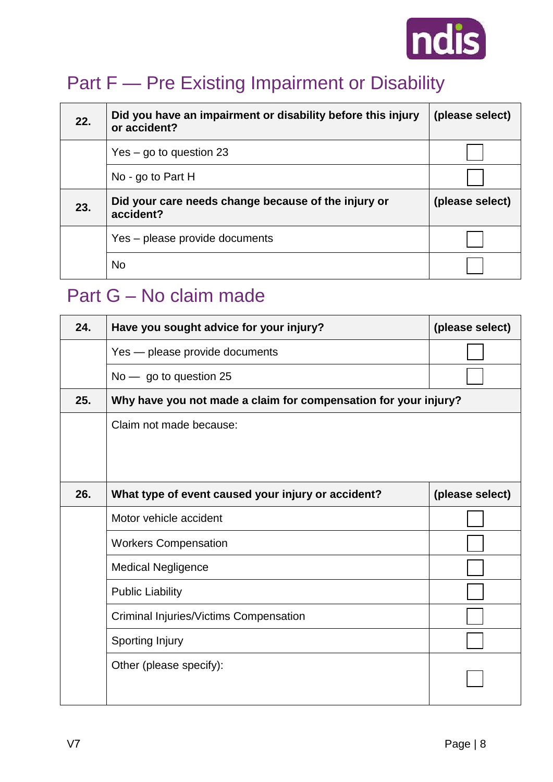

### Part F — Pre Existing Impairment or Disability

| 22. | Did you have an impairment or disability before this injury<br>or accident? | (please select) |
|-----|-----------------------------------------------------------------------------|-----------------|
|     | $Yes - go to question 23$                                                   |                 |
|     | No - go to Part H                                                           |                 |
| 23. | Did your care needs change because of the injury or<br>accident?            | (please select) |
|     | Yes - please provide documents                                              |                 |
|     |                                                                             |                 |

#### Part G – No claim made

| 24. | Have you sought advice for your injury?                         | (please select) |
|-----|-----------------------------------------------------------------|-----------------|
|     | Yes - please provide documents                                  |                 |
|     | No - go to question 25                                          |                 |
| 25. | Why have you not made a claim for compensation for your injury? |                 |
|     | Claim not made because:                                         |                 |
|     |                                                                 |                 |
|     |                                                                 |                 |
| 26. | What type of event caused your injury or accident?              | (please select) |
|     | Motor vehicle accident                                          |                 |
|     | <b>Workers Compensation</b>                                     |                 |
|     | <b>Medical Negligence</b>                                       |                 |
|     | <b>Public Liability</b>                                         |                 |
|     | Criminal Injuries/Victims Compensation                          |                 |
|     | <b>Sporting Injury</b>                                          |                 |
|     | Other (please specify):                                         |                 |